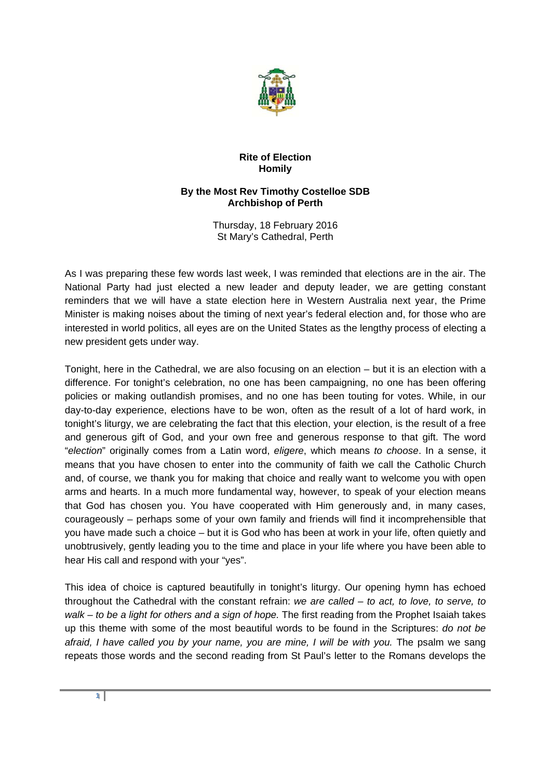

## **Rite of Election Homily**

## **By the Most Rev Timothy Costelloe SDB Archbishop of Perth**

Thursday, 18 February 2016 St Mary's Cathedral, Perth

As I was preparing these few words last week, I was reminded that elections are in the air. The National Party had just elected a new leader and deputy leader, we are getting constant reminders that we will have a state election here in Western Australia next year, the Prime Minister is making noises about the timing of next year's federal election and, for those who are interested in world politics, all eyes are on the United States as the lengthy process of electing a new president gets under way.

Tonight, here in the Cathedral, we are also focusing on an election – but it is an election with a difference. For tonight's celebration, no one has been campaigning, no one has been offering policies or making outlandish promises, and no one has been touting for votes. While, in our day-to-day experience, elections have to be won, often as the result of a lot of hard work, in tonight's liturgy, we are celebrating the fact that this election, your election, is the result of a free and generous gift of God, and your own free and generous response to that gift. The word "*election*" originally comes from a Latin word, *eligere*, which means *to choose*. In a sense, it means that you have chosen to enter into the community of faith we call the Catholic Church and, of course, we thank you for making that choice and really want to welcome you with open arms and hearts. In a much more fundamental way, however, to speak of your election means that God has chosen you. You have cooperated with Him generously and, in many cases, courageously – perhaps some of your own family and friends will find it incomprehensible that you have made such a choice – but it is God who has been at work in your life, often quietly and unobtrusively, gently leading you to the time and place in your life where you have been able to hear His call and respond with your "yes".

This idea of choice is captured beautifully in tonight's liturgy. Our opening hymn has echoed throughout the Cathedral with the constant refrain: *we are called – to act, to love, to serve, to walk – to be a light for others and a sign of hope.* The first reading from the Prophet Isaiah takes up this theme with some of the most beautiful words to be found in the Scriptures: *do not be*  afraid, I have called you by your name, you are mine, I will be with you. The psalm we sang repeats those words and the second reading from St Paul's letter to the Romans develops the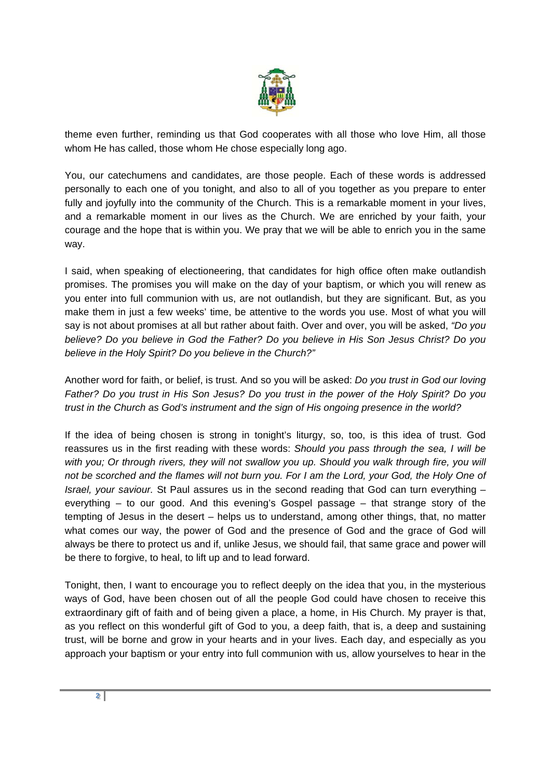

theme even further, reminding us that God cooperates with all those who love Him, all those whom He has called, those whom He chose especially long ago.

You, our catechumens and candidates, are those people. Each of these words is addressed personally to each one of you tonight, and also to all of you together as you prepare to enter fully and joyfully into the community of the Church. This is a remarkable moment in your lives, and a remarkable moment in our lives as the Church. We are enriched by your faith, your courage and the hope that is within you. We pray that we will be able to enrich you in the same way.

I said, when speaking of electioneering, that candidates for high office often make outlandish promises. The promises you will make on the day of your baptism, or which you will renew as you enter into full communion with us, are not outlandish, but they are significant. But, as you make them in just a few weeks' time, be attentive to the words you use. Most of what you will say is not about promises at all but rather about faith. Over and over, you will be asked, *"Do you believe? Do you believe in God the Father? Do you believe in His Son Jesus Christ? Do you believe in the Holy Spirit? Do you believe in the Church?"*

Another word for faith, or belief, is trust. And so you will be asked: *Do you trust in God our loving Father? Do you trust in His Son Jesus? Do you trust in the power of the Holy Spirit? Do you trust in the Church as God's instrument and the sign of His ongoing presence in the world?*

If the idea of being chosen is strong in tonight's liturgy, so, too, is this idea of trust. God reassures us in the first reading with these words: *Should you pass through the sea, I will be with you; Or through rivers, they will not swallow you up. Should you walk through fire, you will not be scorched and the flames will not burn you. For I am the Lord, your God, the Holy One of Israel, your saviour.* St Paul assures us in the second reading that God can turn everything – everything – to our good. And this evening's Gospel passage – that strange story of the tempting of Jesus in the desert – helps us to understand, among other things, that, no matter what comes our way, the power of God and the presence of God and the grace of God will always be there to protect us and if, unlike Jesus, we should fail, that same grace and power will be there to forgive, to heal, to lift up and to lead forward.

Tonight, then, I want to encourage you to reflect deeply on the idea that you, in the mysterious ways of God, have been chosen out of all the people God could have chosen to receive this extraordinary gift of faith and of being given a place, a home, in His Church. My prayer is that, as you reflect on this wonderful gift of God to you, a deep faith, that is, a deep and sustaining trust, will be borne and grow in your hearts and in your lives. Each day, and especially as you approach your baptism or your entry into full communion with us, allow yourselves to hear in the